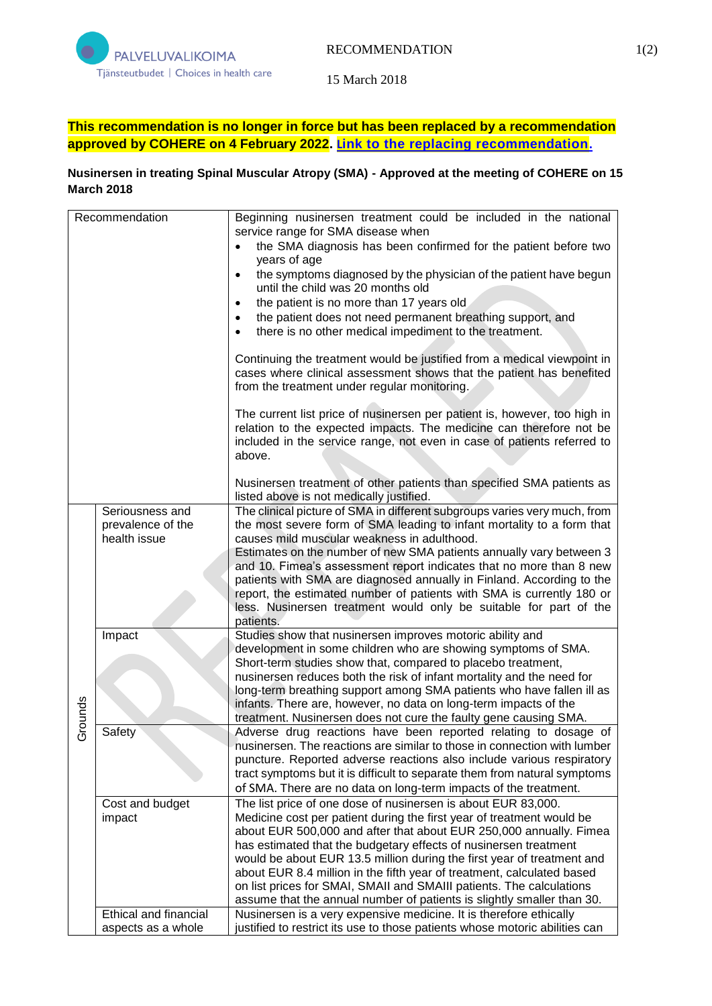

15 March 2018

## **This recommendation is no longer in force but has been replaced by a recommendation approved by COHERE on 4 February 2022. L[ink to the replacing recommendation](https://palveluvalikoima.fi/nusinerseeni-sma-taudin-hoidossa-paivitetty-suositus).**

## **Nusinersen in treating Spinal Muscular Atropy (SMA) - Approved at the meeting of COHERE on 15 March 2018**

| Recommendation |                                                      | Beginning nusinersen treatment could be included in the national<br>service range for SMA disease when<br>the SMA diagnosis has been confirmed for the patient before two<br>years of age<br>the symptoms diagnosed by the physician of the patient have begun<br>$\bullet$<br>until the child was 20 months old<br>the patient is no more than 17 years old<br>the patient does not need permanent breathing support, and<br>there is no other medical impediment to the treatment.<br>Continuing the treatment would be justified from a medical viewpoint in<br>cases where clinical assessment shows that the patient has benefited<br>from the treatment under regular monitoring.<br>The current list price of nusinersen per patient is, however, too high in<br>relation to the expected impacts. The medicine can therefore not be<br>included in the service range, not even in case of patients referred to |
|----------------|------------------------------------------------------|------------------------------------------------------------------------------------------------------------------------------------------------------------------------------------------------------------------------------------------------------------------------------------------------------------------------------------------------------------------------------------------------------------------------------------------------------------------------------------------------------------------------------------------------------------------------------------------------------------------------------------------------------------------------------------------------------------------------------------------------------------------------------------------------------------------------------------------------------------------------------------------------------------------------|
|                |                                                      | above.<br>Nusinersen treatment of other patients than specified SMA patients as<br>listed above is not medically justified.                                                                                                                                                                                                                                                                                                                                                                                                                                                                                                                                                                                                                                                                                                                                                                                            |
| Grounds        | Seriousness and<br>prevalence of the<br>health issue | The clinical picture of SMA in different subgroups varies very much, from<br>the most severe form of SMA leading to infant mortality to a form that<br>causes mild muscular weakness in adulthood.<br>Estimates on the number of new SMA patients annually vary between 3<br>and 10. Fimea's assessment report indicates that no more than 8 new<br>patients with SMA are diagnosed annually in Finland. According to the<br>report, the estimated number of patients with SMA is currently 180 or<br>less. Nusinersen treatment would only be suitable for part of the<br>patients.                                                                                                                                                                                                                                                                                                                                   |
|                | Impact                                               | Studies show that nusinersen improves motoric ability and<br>development in some children who are showing symptoms of SMA.<br>Short-term studies show that, compared to placebo treatment,<br>nusinersen reduces both the risk of infant mortality and the need for<br>long-term breathing support among SMA patients who have fallen ill as<br>infants. There are, however, no data on long-term impacts of the<br>treatment. Nusinersen does not cure the faulty gene causing SMA.                                                                                                                                                                                                                                                                                                                                                                                                                                   |
|                | Safety                                               | Adverse drug reactions have been reported relating to dosage of<br>nusinersen. The reactions are similar to those in connection with lumber<br>puncture. Reported adverse reactions also include various respiratory<br>tract symptoms but it is difficult to separate them from natural symptoms<br>of SMA. There are no data on long-term impacts of the treatment.                                                                                                                                                                                                                                                                                                                                                                                                                                                                                                                                                  |
|                | Cost and budget<br>impact                            | The list price of one dose of nusinersen is about EUR 83,000.<br>Medicine cost per patient during the first year of treatment would be<br>about EUR 500,000 and after that about EUR 250,000 annually. Fimea<br>has estimated that the budgetary effects of nusinersen treatment<br>would be about EUR 13.5 million during the first year of treatment and<br>about EUR 8.4 million in the fifth year of treatment, calculated based<br>on list prices for SMAI, SMAII and SMAIII patients. The calculations<br>assume that the annual number of patients is slightly smaller than 30.                                                                                                                                                                                                                                                                                                                                 |
|                | <b>Ethical and financial</b><br>aspects as a whole   | Nusinersen is a very expensive medicine. It is therefore ethically<br>justified to restrict its use to those patients whose motoric abilities can                                                                                                                                                                                                                                                                                                                                                                                                                                                                                                                                                                                                                                                                                                                                                                      |